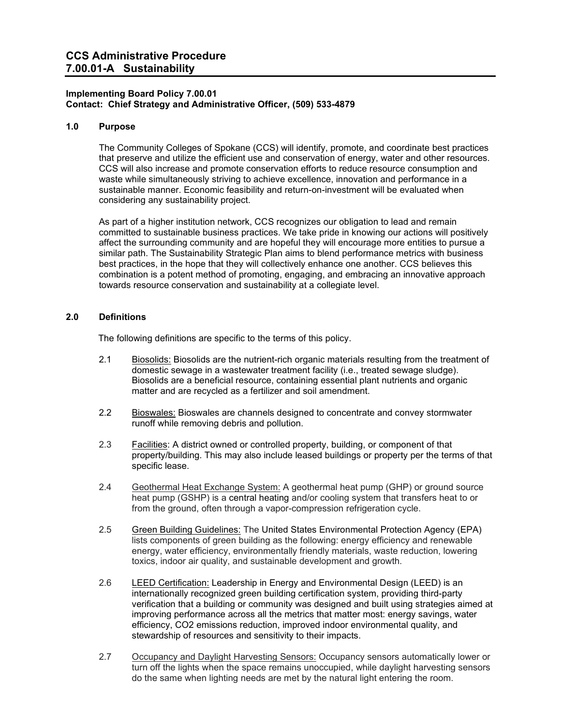## **Implementing Board Policy 7.00.01 Contact: Chief Strategy and Administrative Officer, (509) 533-4879**

## **1.0 Purpose**

The Community Colleges of Spokane (CCS) will identify, promote, and coordinate best practices that preserve and utilize the efficient use and conservation of energy, water and other resources. CCS will also increase and promote conservation efforts to reduce resource consumption and waste while simultaneously striving to achieve excellence, innovation and performance in a sustainable manner. Economic feasibility and return-on-investment will be evaluated when considering any sustainability project.

As part of a higher institution network, CCS recognizes our obligation to lead and remain committed to sustainable business practices. We take pride in knowing our actions will positively affect the surrounding community and are hopeful they will encourage more entities to pursue a similar path. The Sustainability Strategic Plan aims to blend performance metrics with business best practices, in the hope that they will collectively enhance one another. CCS believes this combination is a potent method of promoting, engaging, and embracing an innovative approach towards resource conservation and sustainability at a collegiate level.

# **2.0 Definitions**

The following definitions are specific to the terms of this policy.

- 2.1 Biosolids: Biosolids are the nutrient-rich organic materials resulting from the treatment of domestic sewage in a wastewater treatment facility (i.e., treated sewage sludge). Biosolids are a beneficial resource, containing essential plant nutrients and organic matter and are recycled as a fertilizer and soil amendment.
- 2.2 Bioswales: Bioswales are channels designed to concentrate and convey stormwater runoff while removing debris and pollution.
- 2.3 Facilities: A district owned or controlled property, building, or component of that property/building. This may also include leased buildings or property per the terms of that specific lease.
- 2.4 Geothermal Heat Exchange System: A geothermal heat pump (GHP) or ground source heat pump (GSHP) is a central heating and/or cooling system that transfers heat to or from the ground, often through a vapor-compression refrigeration cycle.
- 2.5 Green Building Guidelines: The United States Environmental Protection Agency (EPA) lists components of green building as the following: energy efficiency and renewable energy, water efficiency, environmentally friendly materials, waste reduction, lowering toxics, indoor air quality, and sustainable development and growth.
- 2.6 LEED Certification: Leadership in Energy and Environmental Design (LEED) is an internationally recognized green building certification system, providing third-party verification that a building or community was designed and built using strategies aimed at improving performance across all the metrics that matter most: energy savings, water efficiency, CO2 emissions reduction, improved indoor environmental quality, and stewardship of resources and sensitivity to their impacts.
- 2.7 Occupancy and Daylight Harvesting Sensors: Occupancy sensors automatically lower or turn off the lights when the space remains unoccupied, while daylight harvesting sensors do the same when lighting needs are met by the natural light entering the room.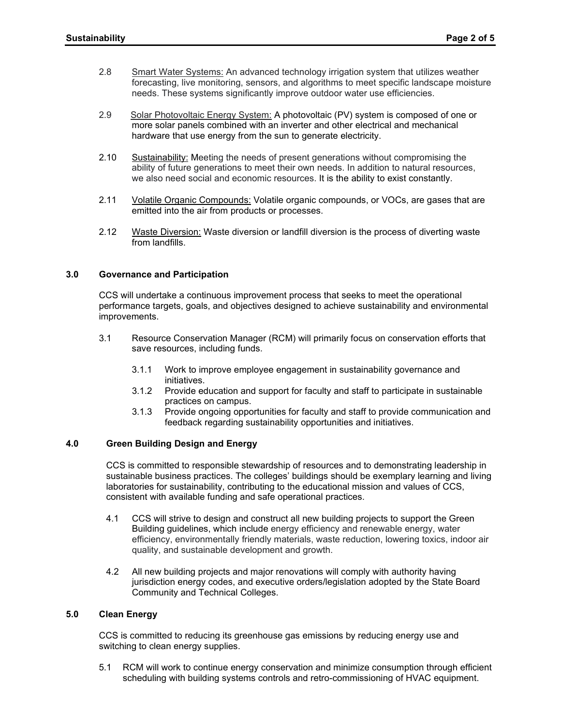- 2.8 Smart Water Systems: An advanced technology irrigation system that utilizes weather forecasting, live monitoring, sensors, and algorithms to meet specific landscape moisture needs. These systems significantly improve outdoor water use efficiencies.
- 2.9 Solar Photovoltaic Energy System: A photovoltaic (PV) system is composed of one or more solar panels combined with an inverter and other electrical and mechanical hardware that use energy from the sun to generate electricity.
- 2.10 Sustainability: Meeting the needs of present generations without compromising the ability of future generations to meet their own needs. In addition to natural resources, we also need social and economic resources. It is the ability to exist constantly.
- 2.11 Volatile Organic Compounds: Volatile organic compounds, or VOCs, are gases that are emitted into the air from products or processes.
- 2.12 Waste Diversion: Waste diversion or landfill diversion is the process of diverting waste from landfills.

#### **3.0 Governance and Participation**

CCS will undertake a continuous improvement process that seeks to meet the operational performance targets, goals, and objectives designed to achieve sustainability and environmental improvements.

- 3.1 Resource Conservation Manager (RCM) will primarily focus on conservation efforts that save resources, including funds.
	- 3.1.1 Work to improve employee engagement in sustainability governance and initiatives.
	- 3.1.2 Provide education and support for faculty and staff to participate in sustainable practices on campus.
	- 3.1.3 Provide ongoing opportunities for faculty and staff to provide communication and feedback regarding sustainability opportunities and initiatives.

# **4.0 Green Building Design and Energy**

CCS is committed to responsible stewardship of resources and to demonstrating leadership in sustainable business practices. The colleges' buildings should be exemplary learning and living laboratories for sustainability, contributing to the educational mission and values of CCS, consistent with available funding and safe operational practices.

- 4.1 CCS will strive to design and construct all new building projects to support the Green Building guidelines, which include energy efficiency and renewable energy, water efficiency, environmentally friendly materials, waste reduction, lowering toxics, indoor air quality, and sustainable development and growth.
- 4.2 All new building projects and major renovations will comply with authority having jurisdiction energy codes, and executive orders/legislation adopted by the State Board Community and Technical Colleges.

#### **5.0 Clean Energy**

CCS is committed to reducing its greenhouse gas emissions by reducing energy use and switching to clean energy supplies.

5.1 RCM will work to continue energy conservation and minimize consumption through efficient scheduling with building systems controls and retro-commissioning of HVAC equipment.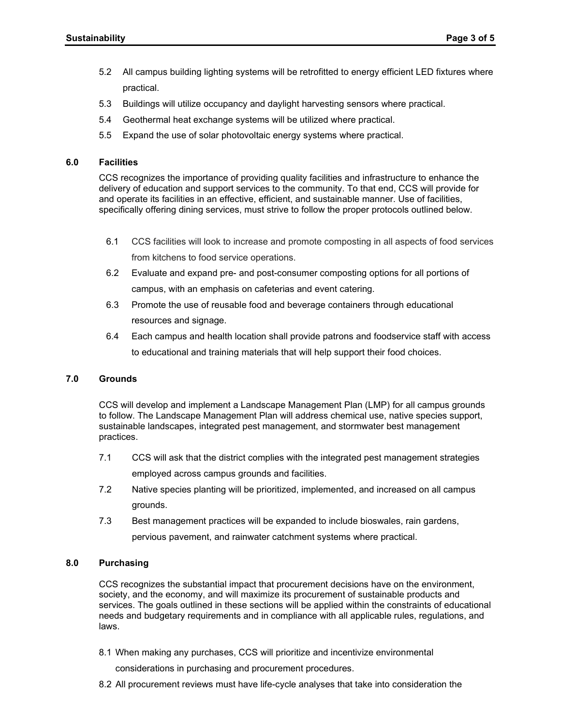- 5.2 All campus building lighting systems will be retrofitted to energy efficient LED fixtures where practical.
- 5.3 Buildings will utilize occupancy and daylight harvesting sensors where practical.
- 5.4 Geothermal heat exchange systems will be utilized where practical.
- 5.5 Expand the use of solar photovoltaic energy systems where practical.

#### **6.0 Facilities**

CCS recognizes the importance of providing quality facilities and infrastructure to enhance the delivery of education and support services to the community. To that end, CCS will provide for and operate its facilities in an effective, efficient, and sustainable manner. Use of facilities, specifically offering dining services, must strive to follow the proper protocols outlined below.

- 6.1 CCS facilities will look to increase and promote composting in all aspects of food services from kitchens to food service operations.
- 6.2 Evaluate and expand pre- and post-consumer composting options for all portions of campus, with an emphasis on cafeterias and event catering.
- 6.3 Promote the use of reusable food and beverage containers through educational resources and signage.
- 6.4 Each campus and health location shall provide patrons and foodservice staff with access to educational and training materials that will help support their food choices.

## **7.0 Grounds**

CCS will develop and implement a Landscape Management Plan (LMP) for all campus grounds to follow. The Landscape Management Plan will address chemical use, native species support, sustainable landscapes, integrated pest management, and stormwater best management practices.

- 7.1 CCS will ask that the district complies with the integrated pest management strategies employed across campus grounds and facilities.
- 7.2 Native species planting will be prioritized, implemented, and increased on all campus grounds.
- 7.3 Best management practices will be expanded to include bioswales, rain gardens, pervious pavement, and rainwater catchment systems where practical.

## **8.0 Purchasing**

CCS recognizes the substantial impact that procurement decisions have on the environment, society, and the economy, and will maximize its procurement of sustainable products and services. The goals outlined in these sections will be applied within the constraints of educational needs and budgetary requirements and in compliance with all applicable rules, regulations, and laws.

8.1 When making any purchases, CCS will prioritize and incentivize environmental

considerations in purchasing and procurement procedures.

8.2 All procurement reviews must have life-cycle analyses that take into consideration the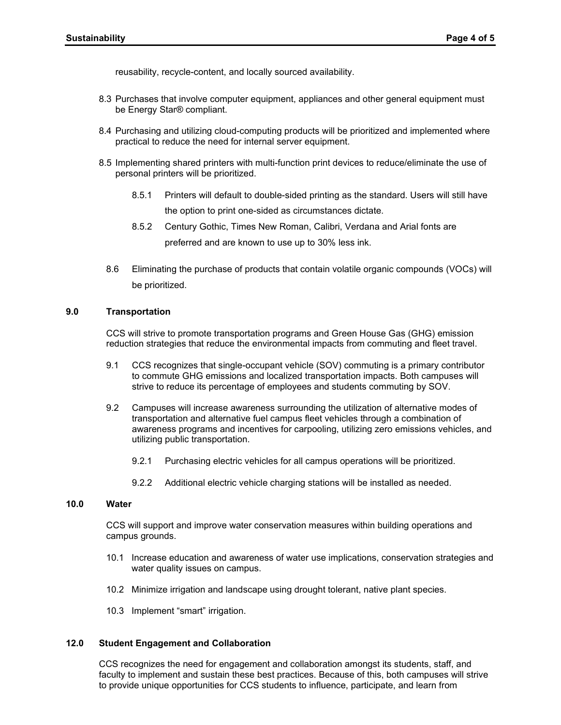reusability, recycle-content, and locally sourced availability.

- 8.3 Purchases that involve computer equipment, appliances and other general equipment must be Energy Star® compliant.
- 8.4 Purchasing and utilizing cloud-computing products will be prioritized and implemented where practical to reduce the need for internal server equipment.
- 8.5 Implementing shared printers with multi-function print devices to reduce/eliminate the use of personal printers will be prioritized.
	- 8.5.1 Printers will default to double-sided printing as the standard. Users will still have the option to print one-sided as circumstances dictate.
	- 8.5.2 Century Gothic, Times New Roman, Calibri, Verdana and Arial fonts are preferred and are known to use up to 30% less ink.
	- 8.6 Eliminating the purchase of products that contain volatile organic compounds (VOCs) will be prioritized.

## **9.0 Transportation**

CCS will strive to promote transportation programs and Green House Gas (GHG) emission reduction strategies that reduce the environmental impacts from commuting and fleet travel.

- 9.1 CCS recognizes that single-occupant vehicle (SOV) commuting is a primary contributor to commute GHG emissions and localized transportation impacts. Both campuses will strive to reduce its percentage of employees and students commuting by SOV.
- 9.2 Campuses will increase awareness surrounding the utilization of alternative modes of transportation and alternative fuel campus fleet vehicles through a combination of awareness programs and incentives for carpooling, utilizing zero emissions vehicles, and utilizing public transportation.
	- 9.2.1 Purchasing electric vehicles for all campus operations will be prioritized.
	- 9.2.2 Additional electric vehicle charging stations will be installed as needed.

# **10.0 Water**

CCS will support and improve water conservation measures within building operations and campus grounds.

- 10.1 Increase education and awareness of water use implications, conservation strategies and water quality issues on campus.
- 10.2 Minimize irrigation and landscape using drought tolerant, native plant species.
- 10.3 Implement "smart" irrigation.

## **12.0 Student Engagement and Collaboration**

CCS recognizes the need for engagement and collaboration amongst its students, staff, and faculty to implement and sustain these best practices. Because of this, both campuses will strive to provide unique opportunities for CCS students to influence, participate, and learn from